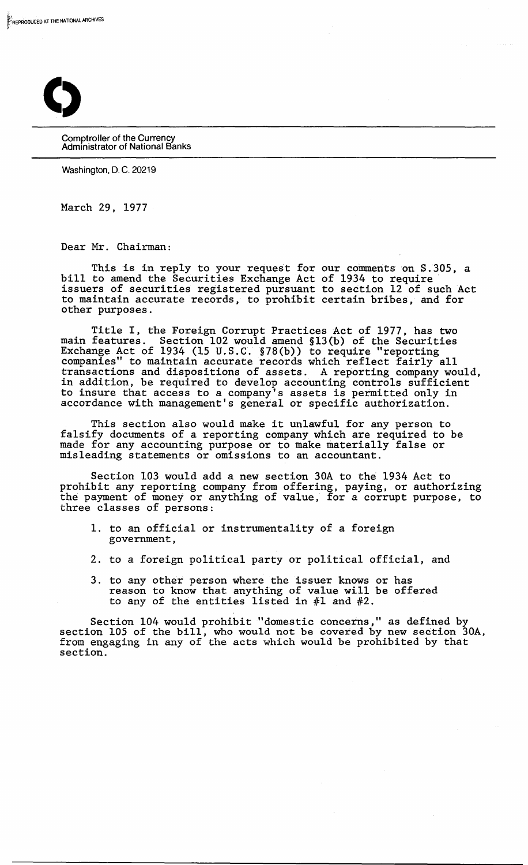

Comptroller of the Currency Administrator of National Banks

Washington, D. C. 20219

March 29, 1977

Dear Mr. Chairman:

This is in reply to your request for our comments on S.305, a bill to amend the Securities Exchange Act of 1934 to require issuers of securities registered pursuant to section 12 of such Act to maintain accurate records, to prohibit certain bribes, and for other purposes.

Title I, the Foreign Corrupt Practices Act of 1977, has two main features. Section 102 would amend §13(b) of the Securities Exchange Act of 1934 (15 U.S.C. §78(b)) to require "reporting companies" to maintain accurate records which reflect fairly all transactions and dispositions of assets. A reporting company would, in addition, be required to develop accounting controls sufficient to insure that access to a company's assets is permitted only in accordance with management's general or specific authorization.

This section also would make it unlawful for any person to falsify documents of a reporting company which are required to be made for any accounting purpose or to make materially false or misleading statements or omissions to an accountant.

Section 103 would add a new section 30A to the 1934 Act to prohibit any reporting company from offering, paying, or authorizing the payment of money or anything of value, for a corrupt purpose, to three classes of persons:

- 1. to an official or instrumentality of a foreign government,
- 2. to a foreign political party or political official, and
- 3. to any other person where the issuer knows or has reason to know that anything of value will be offered to any of the entities listed in #1 and #2.

Section 104 would prohibit "domestic concerns," as defined by section 105 of the bill, who would not be covered by new section 30A, from engaging in any of the acts which would be prohibited by that section.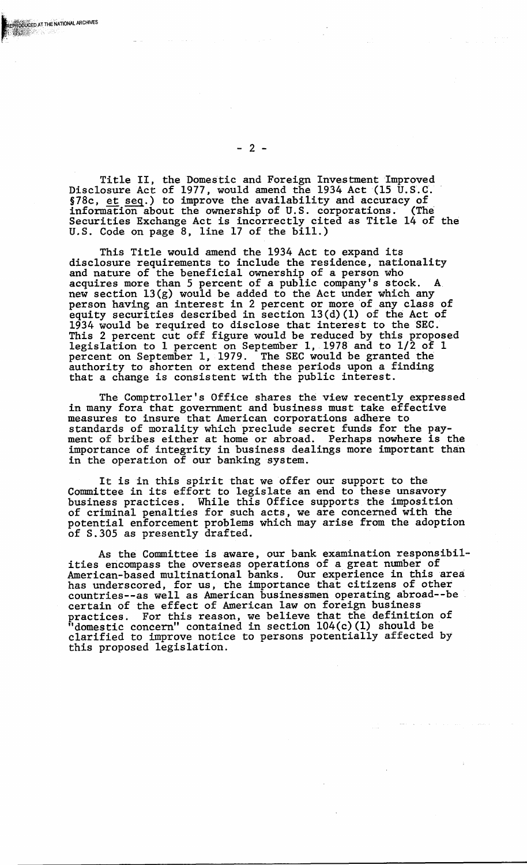Title II, the Domestic and Foreign Investment Improved Disclosure Act of 1977, would amend the 1934 Act (15 U.S.C. SISSISSUES REG SI 1977, WORLD LIBRARY SISTEM (15 STORIC REG.) to improve the availability and accuracy of information about the ownership of U.S. corporations. (The Securities Exchange Act is incorrectly cited as Title 14 of the U.S. Code on page 8, line 17 of the bill.)

This Title would amend the 1934 Act to expand its disclosure requirements to include the residence, nationality and nature of the beneficial ownership of a person who acquires more than 5 percent of a public company's stock. A. new section l3(g) would be added to the Act under which any person having an interest in 2 percent or more of any class of equity securities described in section 13(d) (1) of the Act of 1934 would be required to disclose that interest to the SEC. This 2 percent cut off figure would be reduced by this proposed legislation to 1 percent on September 1,1978 and to 1/2 of 1 percent on Septeniber 1, 1979. The SEC would be granted the authority to shorten or extend these periods upon a finding that a change is consistent with the public interest.

The Comptroller's Office shares the view recently expressed in many fora that government and business must take effective measures to insure that American corporations adhere to standards of morality which preclude secret funds for the payment of bribes either at home or abroad. Perhaps nowhere is the importance of integrity in business dealings more important than in the operation of our banking system.

It is in this spirit that we offer our support to the Committee in its effort to legislate an end to these unsavory business practices. While this Office supports the imposition of criminal penalties for such acts, we are concerned with the potential enforcement problems which may arise from the adoption of S.305 as presently drafted.

As the Committee is aware, our bank examination responsibil- ities encompass the overseas operations of a great number of American-based multinational banks. Our experience in this area has underscored, for us, the importance that citizens of other countries--as well as American businessmen operating abroad--be certain of the effect of American law on foreign business practices. For this reason, we believe that the definition of "domestic concern" contained in section 104(c) (1) should be clarified to improve notice to persons potentially affected by this proposed legislation.

 $- 2 -$ 

ODUCED AT THE NATIONAL ARCHIVES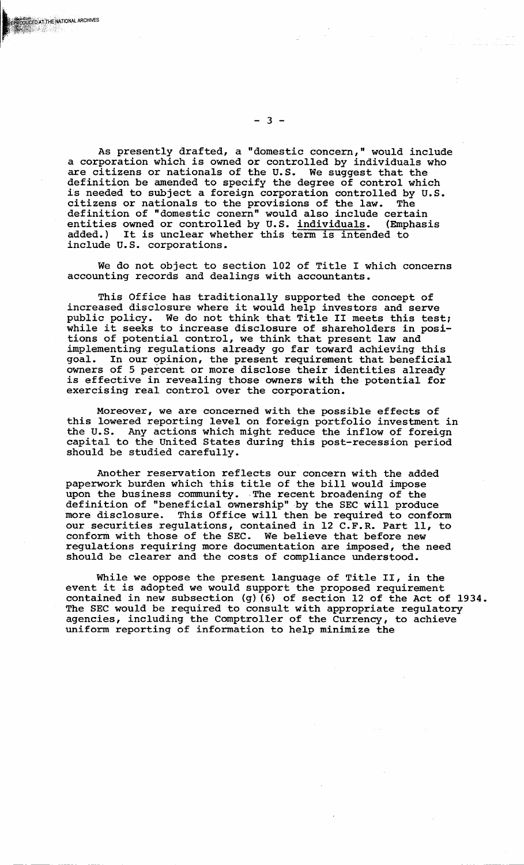As presently drafted, a "domestic concern," would include a corporation which *is* owned or controlled by *individuals* who are *citizens* or nationals of the U.S. We suggest that the *definition* be amended to specify the degree of control which is needed to subject a foreign corporation controlled by U.S. citizens or nationals to the provisions of the law. The *citizens* or nationals to the *provisions* of the law. The *definition* of "domestic conern"would also include certain entities owned or controlled by U.S. *individuals.* (Emphasis added.) It *is* unclear whether this term *is* intended to include U.S. corporations.

We do not object to section 102 of Title I which concerns accounting records and dealings with accountants.

This Office has traditionally supported the concept of increased disclosure where *it* would help investors and serve public policy. We do not think that Title II meets this test; while *it* seeks to increase disclosure of shareholders in positions of potential control, we think that present law and implementing regulations already go far toward achieving this goal. In our opinion, the present requirement that beneficial owners of 5 percent or more *disclose* their identities already is effective *in* revealing those owners with the potential for exercising real control over the corporation.

Moreover, we are concerned with the possible effects of this lowered reporting level on foreign portfolio investment in the U.S. Any actions which might reduce the inflow of foreign Any actions which might reduce the inflow of foreign capital to the United States during this post-recession period should be studied carefully.

Another reservation reflects our concern with the added paperwork burden which this title of the bill would impose upon the business community. The recent broadening of the definition of "beneficial ownership" by the SEC will produce more disclosure. This Office *will* then be required to conform our securities regulations, contained in 12 C.F.R. Part 11, to conform with those of the SEC. We believe that before new regulations requiring more documentation are imposed, the need should be clearer and the costs of compliance understood.

While we oppose the present language of Title II, in the event *it* is adopted we would support the proposed requirement contained in new subsection (g) (6) of section 12 of the Act of 1934. The SEC would be required to consult with appropriate regulatory agencies, including the Comptroller of the Currency, to achieve uniform reporting of information to help minimize the